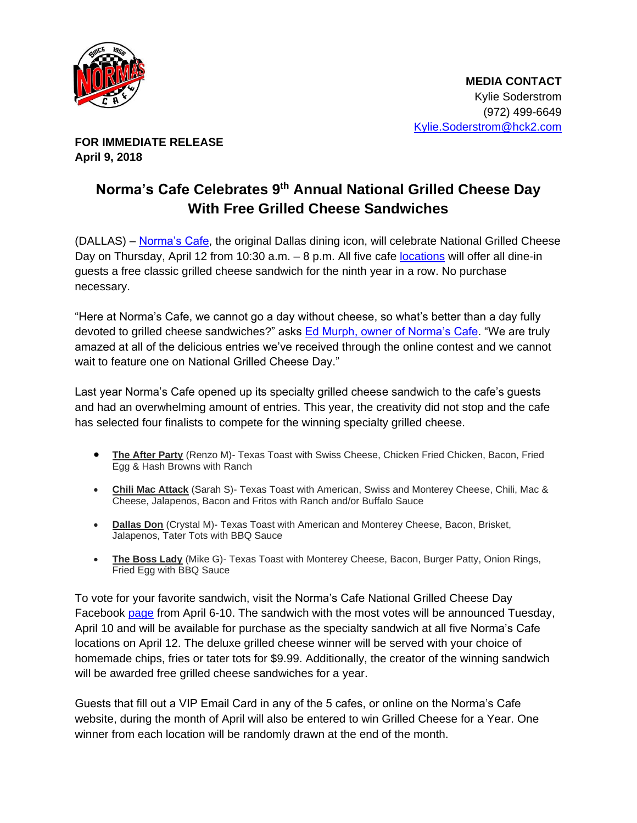

**FOR IMMEDIATE RELEASE April 9, 2018**

## **Norma's Cafe Celebrates 9th Annual National Grilled Cheese Day With Free Grilled Cheese Sandwiches**

(DALLAS) – [Norma's Cafe,](http://normascafe.com/) the original Dallas dining icon, will celebrate National Grilled Cheese Day on Thursday, April 12 from 10:30 a.m. - 8 p.m. All five cafe [locations](http://normascafe.com/locations/) will offer all dine-in guests a free classic grilled cheese sandwich for the ninth year in a row. No purchase necessary.

"Here at Norma's Cafe, we cannot go a day without cheese, so what's better than a day fully devoted to grilled cheese sandwiches?" asks [Ed Murph, owner of Norma's Cafe.](http://normascafe.com/about/) "We are truly amazed at all of the delicious entries we've received through the online contest and we cannot wait to feature one on National Grilled Cheese Day."

Last year Norma's Cafe opened up its specialty grilled cheese sandwich to the cafe's guests and had an overwhelming amount of entries. This year, the creativity did not stop and the cafe has selected four finalists to compete for the winning specialty grilled cheese.

- **The After Party** (Renzo M)- Texas Toast with Swiss Cheese, Chicken Fried Chicken, Bacon, Fried Egg & Hash Browns with Ranch
- **Chili Mac Attack** (Sarah S)- Texas Toast with American, Swiss and Monterey Cheese, Chili, Mac & Cheese, Jalapenos, Bacon and Fritos with Ranch and/or Buffalo Sauce
- **Dallas Don** (Crystal M)- Texas Toast with American and Monterey Cheese, Bacon, Brisket, Jalapenos, Tater Tots with BBQ Sauce
- **The Boss Lady** (Mike G)- Texas Toast with Monterey Cheese, Bacon, Burger Patty, Onion Rings, Fried Egg with BBQ Sauce

To vote for your favorite sandwich, visit the Norma's Cafe National Grilled Cheese Day Facebook [page](https://www.facebook.com/events/229415030948729/) from April 6-10. The sandwich with the most votes will be announced Tuesday, April 10 and will be available for purchase as the specialty sandwich at all five Norma's Cafe locations on April 12. The deluxe grilled cheese winner will be served with your choice of homemade chips, fries or tater tots for \$9.99. Additionally, the creator of the winning sandwich will be awarded free grilled cheese sandwiches for a year.

Guests that fill out a VIP Email Card in any of the 5 cafes, or online on the Norma's Cafe website, during the month of April will also be entered to win Grilled Cheese for a Year. One winner from each location will be randomly drawn at the end of the month.